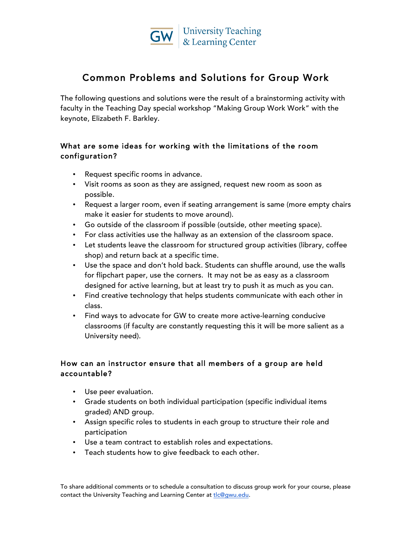

# Common Problems and Solutions for Group Work

The following questions and solutions were the result of a brainstorming activity with faculty in the Teaching Day special workshop "Making Group Work Work" with the keynote, Elizabeth F. Barkley.

## What are some ideas for working with the limitations of the room configuration?

- Request specific rooms in advance.
- Visit rooms as soon as they are assigned, request new room as soon as possible.
- Request a larger room, even if seating arrangement is same (more empty chairs make it easier for students to move around).
- Go outside of the classroom if possible (outside, other meeting space).
- For class activities use the hallway as an extension of the classroom space.
- Let students leave the classroom for structured group activities (library, coffee shop) and return back at a specific time.
- Use the space and don't hold back. Students can shuffle around, use the walls for flipchart paper, use the corners. It may not be as easy as a classroom designed for active learning, but at least try to push it as much as you can.
- Find creative technology that helps students communicate with each other in class.
- Find ways to advocate for GW to create more active-learning conducive classrooms (if faculty are constantly requesting this it will be more salient as a University need).

## How can an instructor ensure that all members of a group are held accountable?

- Use peer evaluation.
- Grade students on both individual participation (specific individual items graded) AND group.
- Assign specific roles to students in each group to structure their role and participation
- Use a team contract to establish roles and expectations.
- Teach students how to give feedback to each other.

To share additional comments or to schedule a consultation to discuss group work for your course, please contact the University Teaching and Learning Center at tlc@gwu.edu.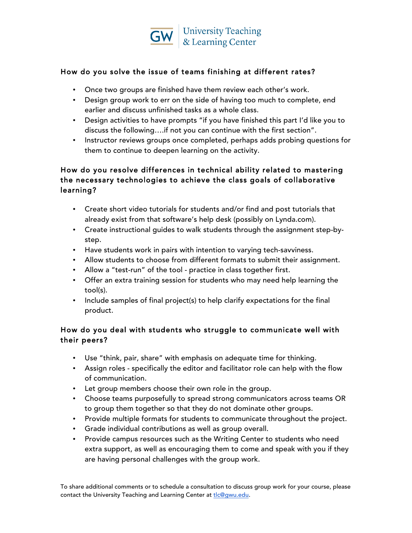

### How do you solve the issue of teams finishing at different rates?

- Once two groups are finished have them review each other's work.
- Design group work to err on the side of having too much to complete, end earlier and discuss unfinished tasks as a whole class.
- Design activities to have prompts "if you have finished this part I'd like you to discuss the following….if not you can continue with the first section".
- Instructor reviews groups once completed, perhaps adds probing questions for them to continue to deepen learning on the activity.

### How do you resolve differences in technical ability related to mastering the necessary technologies to achieve the class goals of collaborative learning?

- Create short video tutorials for students and/or find and post tutorials that already exist from that software's help desk (possibly on Lynda.com).
- Create instructional guides to walk students through the assignment step-bystep.
- Have students work in pairs with intention to varying tech-savviness.
- Allow students to choose from different formats to submit their assignment.
- Allow a "test-run" of the tool practice in class together first.
- Offer an extra training session for students who may need help learning the tool(s).
- Include samples of final project(s) to help clarify expectations for the final product.

## How do you deal with students who struggle to communicate well with their peers?

- Use "think, pair, share" with emphasis on adequate time for thinking.
- Assign roles specifically the editor and facilitator role can help with the flow of communication.
- Let group members choose their own role in the group.
- Choose teams purposefully to spread strong communicators across teams OR to group them together so that they do not dominate other groups.
- Provide multiple formats for students to communicate throughout the project.
- Grade individual contributions as well as group overall.
- Provide campus resources such as the Writing Center to students who need extra support, as well as encouraging them to come and speak with you if they are having personal challenges with the group work.

To share additional comments or to schedule a consultation to discuss group work for your course, please contact the University Teaching and Learning Center at tlc@gwu.edu.